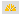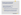**Generali Group and Commerzbank: A new dimension in bancassurance**

Access to each other's customer base: AMB has 13.5m policyholders, Commerzbank AG has 3.7m clients

- $\rightarrow$  Banking centres to be set up at insurance agencies
- $\rightarrow$  Specialists for insurance and home-loan savings schemes deployed in Commerzbank branches



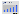### **Business plan for bancassurance** Pre-tax profit in euro m



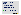

## **Commerzbank and Generali Group: Further plans**

- ◆ Cooperation on company schemes and private provision for old age
- $\blacklozenge$  Possibility of joint acquisitions in asset management
- $\blacklozenge$  New joint activities in international private banking
- $\blacklozenge$  Joint venture being worked out in private equity area

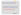## **Reasons for Commerzbank's capital increase**

necessary for far-reaching cooperation with Generali

we seek the status of a Financial Holding Company

 $→$  **our goal: a core capital ratio of**  $\frac{3}{5}$  **6.5%** 

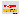

## **The new strategic approach**



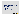

## **The tasks that lie ahead of us:**

◆ Examination and possibly expansion of critical mass in core areas of business

- $\blacklozenge$  Implementation of new branch structure in Germany: streamlining network by up to 200 branches
- $\blacklozenge$  Critical review of international network
- $\blacklozenge$  Identification of periheral activities

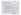## **KEB – turnaround in sight**

We are participating in the planned €200m capital increase

The conditions for it have been met:

- $\blacklozenge$  The management improvement plan has been accepted by the Financial Supervisory Commission
- ◆ The South Korean state is indirectly taking over two-thirds of the capital increase
- $\blacklozenge$  At the coming AGM, a capital writedown (one-for-two) is to be resolved

**In the medium term, KEB will achieve positive results**

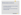## **BRE-Bank maintains successful course**

As of October 31, 2000, BRE will be fully consolidated by the Commerzbank Group.

Strong result expected this year as well, after special income items in 1999

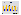### **Net interest income: earnings gained momentum in Q3** Commerzbank Group, in euro m



\*) German Commercial Code (HGB)



**9**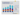## **Net commission income: investment banking powers growth**

Commerzbank Group, in euro m





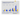

## **Trading profit: determined by equities**

Commerzbank Group, in euro m

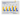## **Operating expenditure shows impact of staff recruitment**

Commerzbank Group, in euro m



\*) German Commercial Code (HGB)



**12**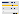## **Commerzbank Group's income statement**

|                               | 1.1.-30.9.1999 | 1.1.-30.9.2000 | <b>Change</b> |  |
|-------------------------------|----------------|----------------|---------------|--|
|                               |                | in euro m      |               |  |
| Net interest after provisions | 1,987          | 2,249          | 13.2          |  |
| Net commission income         | 1,511          | 2,075          | 37.3          |  |
| <b>Trading profit</b>         | 614            | 751            | 22.3          |  |
| <b>Financial investments</b>  | 94             | 164            | 74.5          |  |
| <b>Operating expenses</b>     | 3,190          | 3,853          | 20.8          |  |
| Other operating result        | $-5$           | 1,030          | ٠             |  |
| <b>Pre-tax profit</b>         | 1,011          | 2,416          | 139.0         |  |
| <b>Taxes on income</b>        | 332            | 931            | 180.4         |  |
| <b>After-tax profit</b>       | 679            | 1,485          | 118.7         |  |
| <b>Minority interest</b>      | $-51$          | $-47$          | $-7.8$        |  |
| <b>Net profit</b>             | 628            | 1,438          | 129.0         |  |

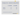## **Earnings per share – momentum of earnings unbroken**



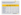# **Breakdown of results, by corporate division**

Commerzbank Group, 1.1.-30.9.2000, in euro m

|                                               | <b>Retail</b><br><b>Banking and</b><br><b>Real Estate</b> | <b>Banking and</b><br><b>Institutions</b> | <b>Corporate Investment Mortgage Others*</b><br><b>Banking</b> | <b>Banking</b> |                | <b>Total</b> |
|-----------------------------------------------|-----------------------------------------------------------|-------------------------------------------|----------------------------------------------------------------|----------------|----------------|--------------|
| Net interest income                           | 843                                                       | 1,215                                     | 115                                                            | 421            | 52             | 2,646        |
| <b>Provisions for possible</b><br>loan losses | $-98$                                                     | $-254$                                    | $-6$                                                           | $-39$          | $\overline{0}$ | $-397$       |
| Net interest income<br>after provisioning     | 745                                                       | 961                                       | 109                                                            | 382            | 52             | 1,440        |
| Net commission income                         | 995                                                       | 460                                       | 684                                                            | $-15$          | $-49$          | 2,249        |
| <b>Trading profit</b>                         | $\overline{0}$                                            | 38                                        | 791                                                            | $\overline{0}$ | $-78$          | 751          |
| <b>Result on financial</b><br>investments     | $\Omega$                                                  | 43                                        | 21                                                             | $-11$          | 111            | 164          |
| <b>Operating expenses</b>                     | 1,406                                                     | 836                                       | 1,287                                                          | 112            | 212            | 3,853        |
| Other operating result                        | 898                                                       | 3                                         | $-31$                                                          | 7              | 153            | 1,030        |
| <b>Pre-tax profit</b>                         | 1,232                                                     | 669                                       | 287                                                            | 251            | $-23$          | 2,416        |

\*) Group management/others and consolidation

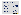### **Commerzbank: Top Rankings and Awards**

Bank of the year 2000 for Germany *The Banker, Sept. 2000* Best foreign bank in South Africa *Euromoney, July 2000* Commerzbank Securities: Top Rising Star 1999 *Primark Extel Survey* No. 1 in European IPOs (by deals); No. 3 by value (Jan.-Sept. 2000) (up from 35th place in 1998) No. 2 for European stock analyst (for predictions) *AQ First Call, July 2000* comdirect: Best Online-Broker in Europe *Blue Sky International*

BRE: Best domestic bank in Poland *Euromoney, July 2000*

*July and Oct. 2000*

*(1998 + 1999 as well)*